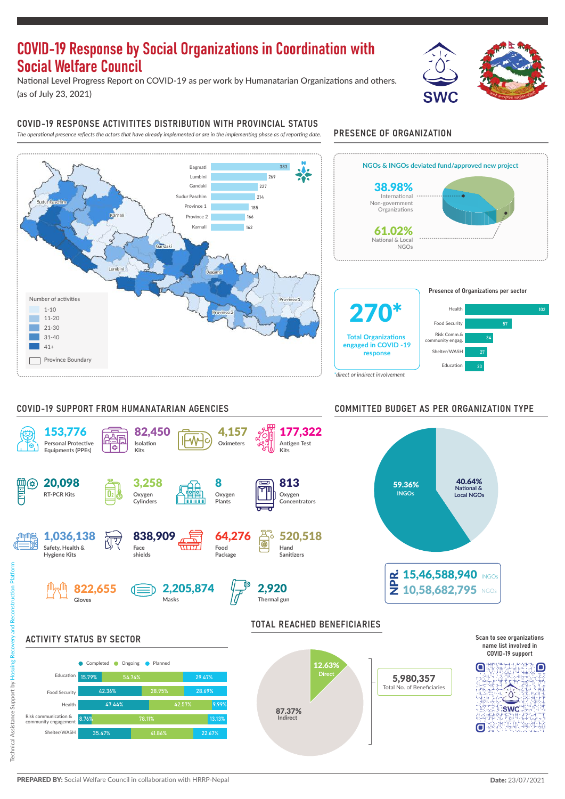# COVID-19 Response by Social Organizations in Coordination with Social Welfare Council

National Level Progress Report on COVID-19 as per work by Humanatarian Organizations and others. (as of July 23, 2021)



#### COVID-19 RESPONSE ACTIVITITES DISTRIBUTION WITH PROVINCIAL STATUS

*The operational presence reflects the actors that have already implemented or are in the implementing phase as of reporting date.* PRESENCE OF ORGANIZATION







COVID-19 SUPPORT FROM HUMANATARIAN AGENCIES